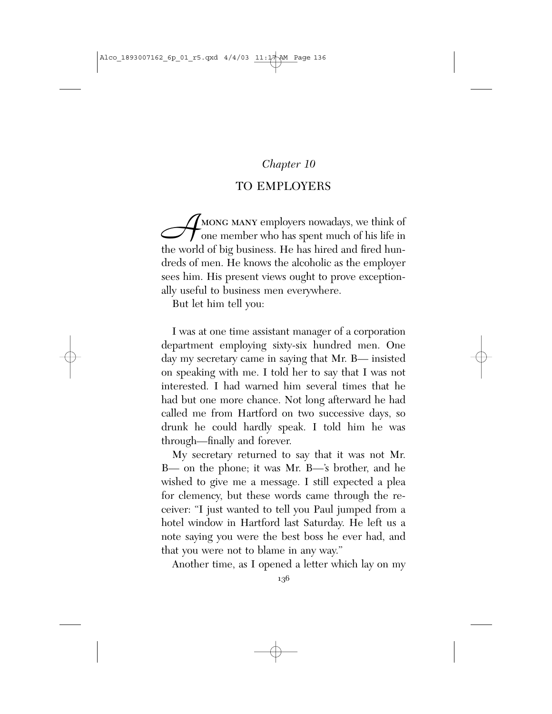## *Chapter 10*

## TO EMPLOYERS

**AMONG MANY employers nowadays, we think of** one member who has spent much of his life in the world of big business. He has hired and fired hunone member who has spent much of his life in the world of big business. He has hired and fired hundreds of men. He knows the alcoholic as the employer sees him. His present views ought to prove exceptionally useful to business men everywhere.

But let him tell you:

I was at one time assistant manager of a corporation department employing sixty-six hundred men. One day my secretary came in saying that Mr. B— insisted on speaking with me. I told her to say that I was not interested. I had warned him several times that he had but one more chance. Not long afterward he had called me from Hartford on two successive days, so drunk he could hardly speak. I told him he was through—finally and forever.

My secretary returned to say that it was not Mr. B— on the phone; it was Mr. B—'s brother, and he wished to give me a message. I still expected a plea for clemency, but these words came through the receiver: "I just wanted to tell you Paul jumped from a hotel window in Hartford last Saturday. He left us a note saying you were the best boss he ever had, and that you were not to blame in any way."

Another time, as I opened a letter which lay on my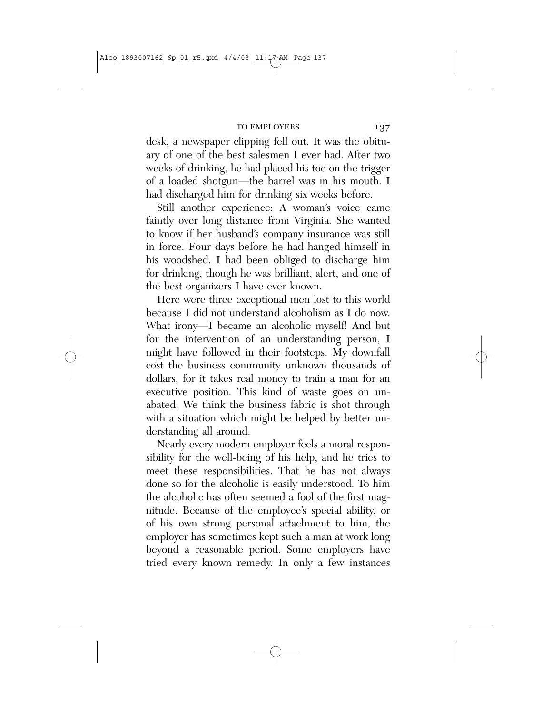desk, a newspaper clipping fell out. It was the obituary of one of the best salesmen I ever had. After two weeks of drinking, he had placed his toe on the trigger of a loaded shotgun—the barrel was in his mouth. I had discharged him for drinking six weeks before.

Still another experience: A woman's voice came faintly over long distance from Virginia. She wanted to know if her husband's company insurance was still in force. Four days before he had hanged himself in his woodshed. I had been obliged to discharge him for drinking, though he was brilliant, alert, and one of the best organizers I have ever known.

Here were three exceptional men lost to this world because I did not understand alcoholism as I do now. What irony—I became an alcoholic myself! And but for the intervention of an understanding person, I might have followed in their footsteps. My downfall cost the business community unknown thousands of dollars, for it takes real money to train a man for an executive position. This kind of waste goes on unabated. We think the business fabric is shot through with a situation which might be helped by better understanding all around.

Nearly every modern employer feels a moral responsibility for the well-being of his help, and he tries to meet these responsibilities. That he has not always done so for the alcoholic is easily understood. To him the alcoholic has often seemed a fool of the first magnitude. Because of the employee's special ability, or of his own strong personal attachment to him, the employer has sometimes kept such a man at work long beyond a reasonable period. Some employers have tried every known remedy. In only a few instances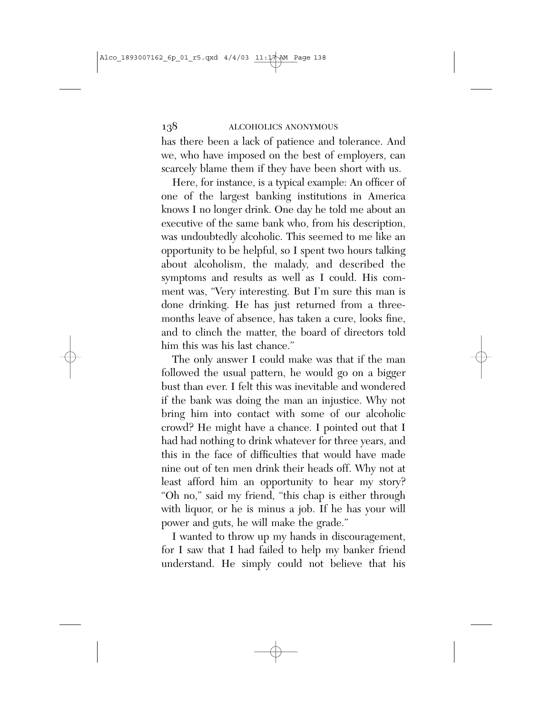has there been a lack of patience and tolerance. And we, who have imposed on the best of employers, can scarcely blame them if they have been short with us.

Here, for instance, is a typical example: An officer of one of the largest banking institutions in America knows I no longer drink. One day he told me about an executive of the same bank who, from his description, was undoubtedly alcoholic. This seemed to me like an opportunity to be helpful, so I spent two hours talking about alcoholism, the malady, and described the symptoms and results as well as I could. His comment was, "Very interesting. But I'm sure this man is done drinking. He has just returned from a threemonths leave of absence, has taken a cure, looks fine, and to clinch the matter, the board of directors told him this was his last chance."

The only answer I could make was that if the man followed the usual pattern, he would go on a bigger bust than ever. I felt this was inevitable and wondered if the bank was doing the man an injustice. Why not bring him into contact with some of our alcoholic crowd? He might have a chance. I pointed out that I had had nothing to drink whatever for three years, and this in the face of difficulties that would have made nine out of ten men drink their heads off. Why not at least afford him an opportunity to hear my story? "Oh no," said my friend, "this chap is either through with liquor, or he is minus a job. If he has your will power and guts, he will make the grade."

I wanted to throw up my hands in discouragement, for I saw that I had failed to help my banker friend understand. He simply could not believe that his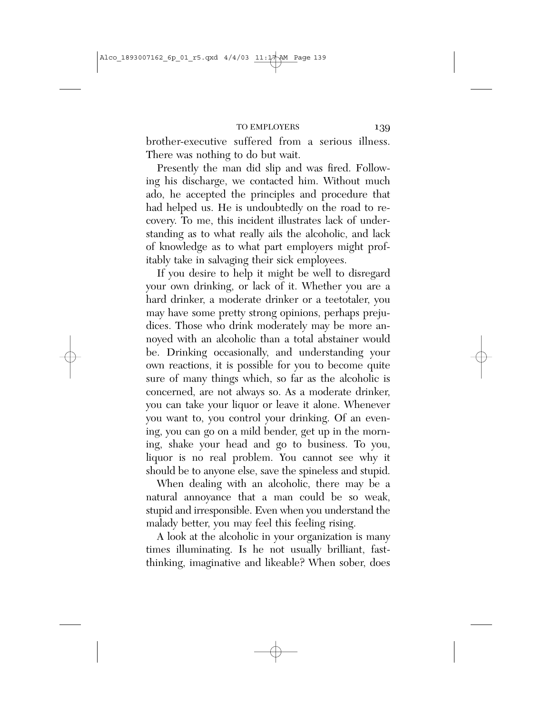brother-executive suffered from a serious illness. There was nothing to do but wait.

Presently the man did slip and was fired. Following his discharge, we contacted him. Without much ado, he accepted the principles and procedure that had helped us. He is undoubtedly on the road to recovery. To me, this incident illustrates lack of understanding as to what really ails the alcoholic, and lack of knowledge as to what part employers might profitably take in salvaging their sick employees.

If you desire to help it might be well to disregard your own drinking, or lack of it. Whether you are a hard drinker, a moderate drinker or a teetotaler, you may have some pretty strong opinions, perhaps prejudices. Those who drink moderately may be more annoyed with an alcoholic than a total abstainer would be. Drinking occasionally, and understanding your own reactions, it is possible for you to become quite sure of many things which, so far as the alcoholic is concerned, are not always so. As a moderate drinker, you can take your liquor or leave it alone. Whenever you want to, you control your drinking. Of an evening, you can go on a mild bender, get up in the morning, shake your head and go to business. To you, liquor is no real problem. You cannot see why it should be to anyone else, save the spineless and stupid.

When dealing with an alcoholic, there may be a natural annoyance that a man could be so weak, stupid and irresponsible. Even when you understand the malady better, you may feel this feeling rising.

A look at the alcoholic in your organization is many times illuminating. Is he not usually brilliant, fastthinking, imaginative and likeable? When sober, does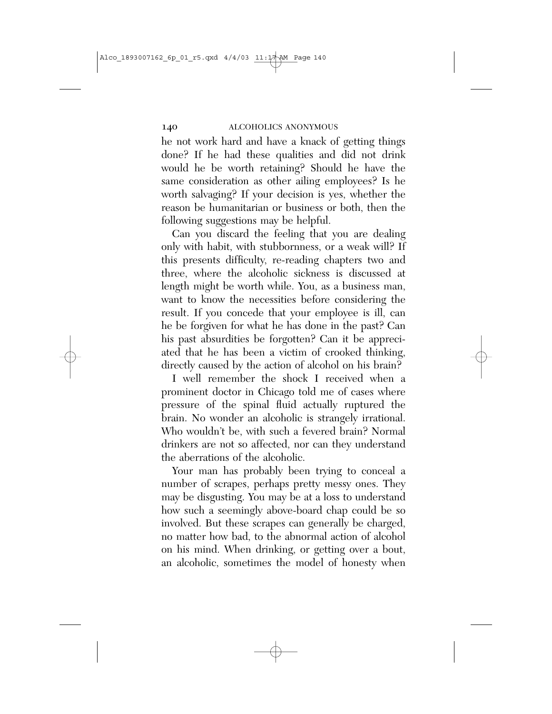he not work hard and have a knack of getting things done? If he had these qualities and did not drink would he be worth retaining? Should he have the same consideration as other ailing employees? Is he worth salvaging? If your decision is yes, whether the reason be humanitarian or business or both, then the following suggestions may be helpful.

Can you discard the feeling that you are dealing only with habit, with stubbornness, or a weak will? If this presents difficulty, re-reading chapters two and three, where the alcoholic sickness is discussed at length might be worth while. You, as a business man, want to know the necessities before considering the result. If you concede that your employee is ill, can he be forgiven for what he has done in the past? Can his past absurdities be forgotten? Can it be appreciated that he has been a victim of crooked thinking, directly caused by the action of alcohol on his brain?

I well remember the shock I received when a prominent doctor in Chicago told me of cases where pressure of the spinal fluid actually ruptured the brain. No wonder an alcoholic is strangely irrational. Who wouldn't be, with such a fevered brain? Normal drinkers are not so affected, nor can they understand the aberrations of the alcoholic.

Your man has probably been trying to conceal a number of scrapes, perhaps pretty messy ones. They may be disgusting. You may be at a loss to understand how such a seemingly above-board chap could be so involved. But these scrapes can generally be charged, no matter how bad, to the abnormal action of alcohol on his mind. When drinking, or getting over a bout, an alcoholic, sometimes the model of honesty when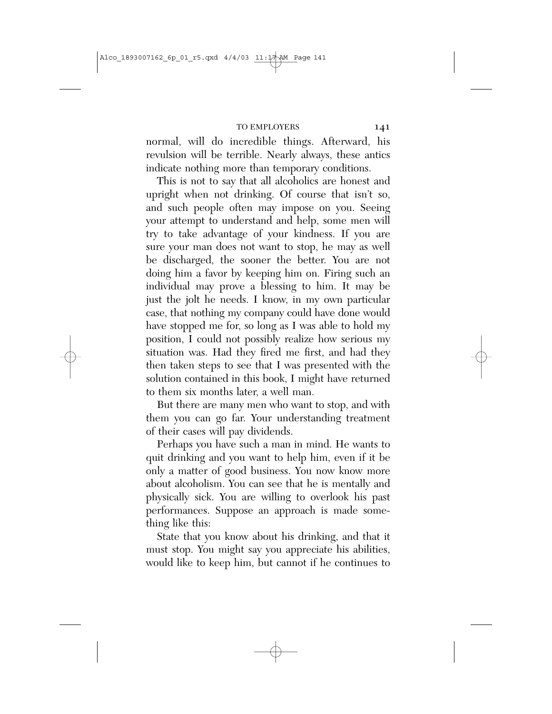normal, will do incredible things. Afterward, his revulsion will be terrible. Nearly always, these antics indicate nothing more than temporary conditions.

This is not to say that all alcoholics are honest and upright when not drinking. Of course that isn't so, and such people often may impose on you. Seeing your attempt to understand and help, some men will try to take advantage of your kindness. If you are sure your man does not want to stop, he may as well be discharged, the sooner the better. You are not doing him a favor by keeping him on. Firing such an individual may prove a blessing to him. It may be just the jolt he needs. I know, in my own particular case, that nothing my company could have done would have stopped me for, so long as I was able to hold my position, I could not possibly realize how serious my situation was. Had they fired me first, and had they then taken steps to see that I was presented with the solution contained in this book, I might have returned to them six months later, a well man

But there are many men who want to stop, and with them you can go far. Your understanding treatment of their cases will pay dividends.

Perhaps you have such a man in mind. He wants to quit drinking and you want to help him, even if it be only a matter of good business. You now know more about alcoholism. You can see that he is mentally and physically sick. You are willing to overlook his past performances. Suppose an approach is made something like this:

State that you know about his drinking, and that it must stop. You might say you appreciate his abilities, would like to keep him, but cannot if he continues to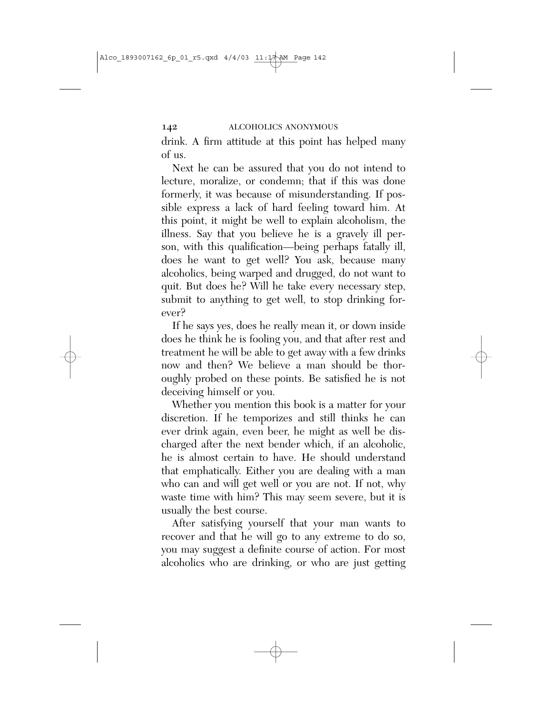drink. A firm attitude at this point has helped many of us.

Next he can be assured that you do not intend to lecture, moralize, or condemn; that if this was done formerly, it was because of misunderstanding. If possible express a lack of hard feeling toward him. At this point, it might be well to explain alcoholism, the illness. Say that you believe he is a gravely ill person, with this qualification—being perhaps fatally ill, does he want to get well? You ask, because many alcoholics, being warped and drugged, do not want to quit. But does he? Will he take every necessary step, submit to anything to get well, to stop drinking forever?

If he says yes, does he really mean it, or down inside does he think he is fooling you, and that after rest and treatment he will be able to get away with a few drinks now and then? We believe a man should be thoroughly probed on these points. Be satisfied he is not deceiving himself or you.

Whether you mention this book is a matter for your discretion. If he temporizes and still thinks he can ever drink again, even beer, he might as well be discharged after the next bender which, if an alcoholic, he is almost certain to have. He should understand that emphatically. Either you are dealing with a man who can and will get well or you are not. If not, why waste time with him? This may seem severe, but it is usually the best course.

After satisfying yourself that your man wants to recover and that he will go to any extreme to do so, you may suggest a definite course of action. For most alcoholics who are drinking, or who are just getting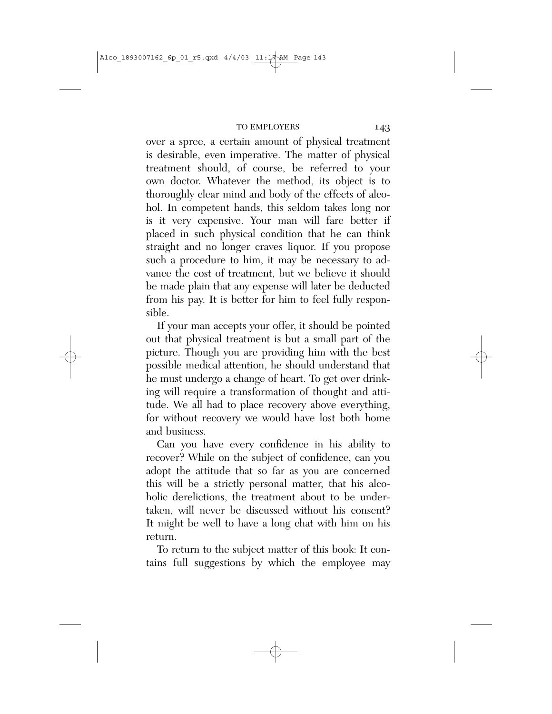over a spree, a certain amount of physical treatment is desirable, even imperative. The matter of physical treatment should, of course, be referred to your own doctor. Whatever the method, its object is to thoroughly clear mind and body of the effects of alcohol. In competent hands, this seldom takes long nor is it very expensive. Your man will fare better if placed in such physical condition that he can think straight and no longer craves liquor. If you propose such a procedure to him, it may be necessary to advance the cost of treatment, but we believe it should be made plain that any expense will later be deducted from his pay. It is better for him to feel fully responsible.

If your man accepts your offer, it should be pointed out that physical treatment is but a small part of the picture. Though you are providing him with the best possible medical attention, he should understand that he must undergo a change of heart. To get over drinking will require a transformation of thought and attitude. We all had to place recovery above everything, for without recovery we would have lost both home and business.

Can you have every confidence in his ability to recover? While on the subject of confidence, can you adopt the attitude that so far as you are concerned this will be a strictly personal matter, that his alcoholic derelictions, the treatment about to be undertaken, will never be discussed without his consent? It might be well to have a long chat with him on his return.

To return to the subject matter of this book: It contains full suggestions by which the employee may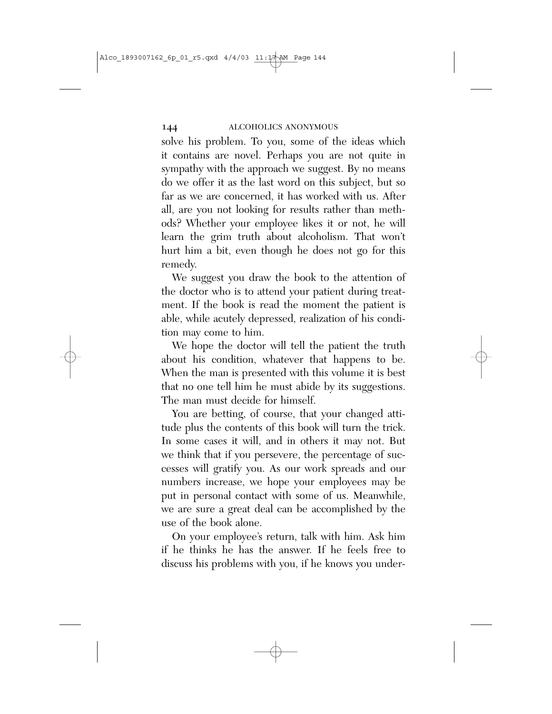solve his problem. To you, some of the ideas which it contains are novel. Perhaps you are not quite in sympathy with the approach we suggest. By no means do we offer it as the last word on this subject, but so far as we are concerned, it has worked with us. After all, are you not looking for results rather than methods? Whether your employee likes it or not, he will learn the grim truth about alcoholism. That won't hurt him a bit, even though he does not go for this remedy.

We suggest you draw the book to the attention of the doctor who is to attend your patient during treatment. If the book is read the moment the patient is able, while acutely depressed, realization of his condition may come to him.

We hope the doctor will tell the patient the truth about his condition, whatever that happens to be. When the man is presented with this volume it is best that no one tell him he must abide by its suggestions. The man must decide for himself.

You are betting, of course, that your changed attitude plus the contents of this book will turn the trick. In some cases it will, and in others it may not. But we think that if you persevere, the percentage of successes will gratify you. As our work spreads and our numbers increase, we hope your employees may be put in personal contact with some of us. Meanwhile, we are sure a great deal can be accomplished by the use of the book alone.

On your employee's return, talk with him. Ask him if he thinks he has the answer. If he feels free to discuss his problems with you, if he knows you under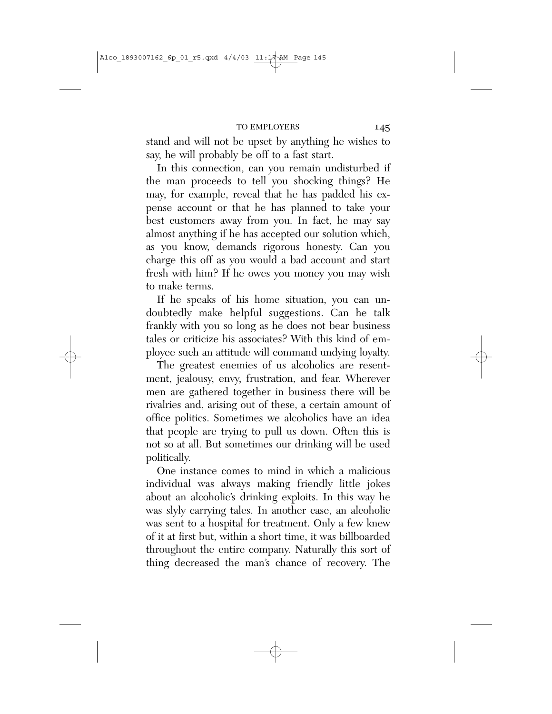stand and will not be upset by anything he wishes to say, he will probably be off to a fast start.

In this connection, can you remain undisturbed if the man proceeds to tell you shocking things? He may, for example, reveal that he has padded his expense account or that he has planned to take your best customers away from you. In fact, he may say almost anything if he has accepted our solution which, as you know, demands rigorous honesty. Can you charge this off as you would a bad account and start fresh with him? If he owes you money you may wish to make terms.

If he speaks of his home situation, you can undoubtedly make helpful suggestions. Can he talk frankly with you so long as he does not bear business tales or criticize his associates? With this kind of employee such an attitude will command undying loyalty.

The greatest enemies of us alcoholics are resentment, jealousy, envy, frustration, and fear. Wherever men are gathered together in business there will be rivalries and, arising out of these, a certain amount of office politics. Sometimes we alcoholics have an idea that people are trying to pull us down. Often this is not so at all. But sometimes our drinking will be used politically.

One instance comes to mind in which a malicious individual was always making friendly little jokes about an alcoholic's drinking exploits. In this way he was slyly carrying tales. In another case, an alcoholic was sent to a hospital for treatment. Only a few knew of it at first but, within a short time, it was billboarded throughout the entire company. Naturally this sort of thing decreased the man's chance of recovery. The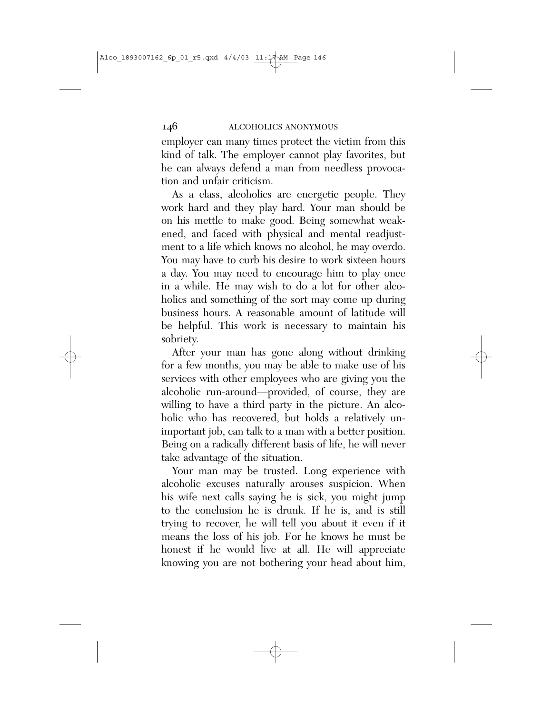employer can many times protect the victim from this kind of talk. The employer cannot play favorites, but he can always defend a man from needless provocation and unfair criticism.

As a class, alcoholics are energetic people. They work hard and they play hard. Your man should be on his mettle to make good. Being somewhat weakened, and faced with physical and mental readjustment to a life which knows no alcohol, he may overdo. You may have to curb his desire to work sixteen hours a day. You may need to encourage him to play once in a while. He may wish to do a lot for other alcoholics and something of the sort may come up during business hours. A reasonable amount of latitude will be helpful. This work is necessary to maintain his sobriety.

After your man has gone along without drinking for a few months, you may be able to make use of his services with other employees who are giving you the alcoholic run-around—provided, of course, they are willing to have a third party in the picture. An alcoholic who has recovered, but holds a relatively unimportant job, can talk to a man with a better position. Being on a radically different basis of life, he will never take advantage of the situation.

Your man may be trusted. Long experience with alcoholic excuses naturally arouses suspicion. When his wife next calls saying he is sick, you might jump to the conclusion he is drunk. If he is, and is still trying to recover, he will tell you about it even if it means the loss of his job. For he knows he must be honest if he would live at all. He will appreciate knowing you are not bothering your head about him,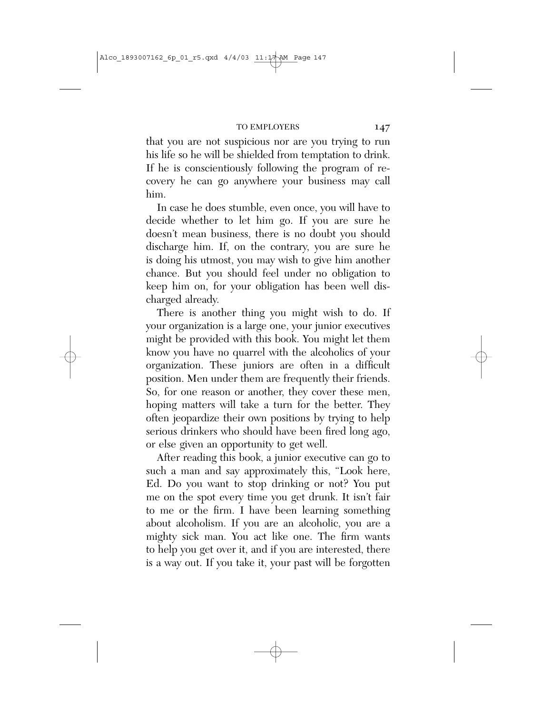that you are not suspicious nor are you trying to run his life so he will be shielded from temptation to drink. If he is conscientiously following the program of recovery he can go anywhere your business may call him.

In case he does stumble, even once, you will have to decide whether to let him go. If you are sure he doesn't mean business, there is no doubt you should discharge him. If, on the contrary, you are sure he is doing his utmost, you may wish to give him another chance. But you should feel under no obligation to keep him on, for your obligation has been well discharged already.

There is another thing you might wish to do. If your organization is a large one, your junior executives might be provided with this book. You might let them know you have no quarrel with the alcoholics of your organization. These juniors are often in a difficult position. Men under them are frequently their friends. So, for one reason or another, they cover these men, hoping matters will take a turn for the better. They often jeopardize their own positions by trying to help serious drinkers who should have been fired long ago, or else given an opportunity to get well.

After reading this book, a junior executive can go to such a man and say approximately this, "Look here, Ed. Do you want to stop drinking or not? You put me on the spot every time you get drunk. It isn't fair to me or the firm. I have been learning something about alcoholism. If you are an alcoholic, you are a mighty sick man. You act like one. The firm wants to help you get over it, and if you are interested, there is a way out. If you take it, your past will be forgotten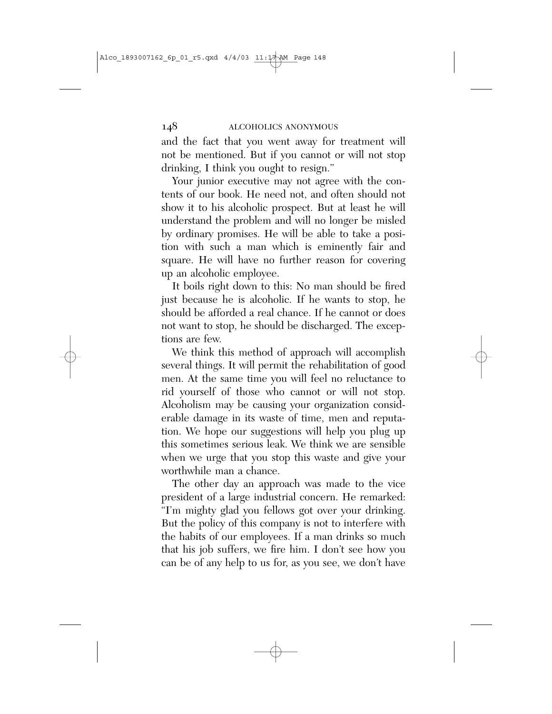and the fact that you went away for treatment will not be mentioned. But if you cannot or will not stop drinking, I think you ought to resign."

Your junior executive may not agree with the contents of our book. He need not, and often should not show it to his alcoholic prospect. But at least he will understand the problem and will no longer be misled by ordinary promises. He will be able to take a position with such a man which is eminently fair and square. He will have no further reason for covering up an alcoholic employee.

It boils right down to this: No man should be fired just because he is alcoholic. If he wants to stop, he should be afforded a real chance. If he cannot or does not want to stop, he should be discharged. The exceptions are few.

We think this method of approach will accomplish several things. It will permit the rehabilitation of good men. At the same time you will feel no reluctance to rid yourself of those who cannot or will not stop. Alcoholism may be causing your organization considerable damage in its waste of time, men and reputation. We hope our suggestions will help you plug up this sometimes serious leak. We think we are sensible when we urge that you stop this waste and give your worthwhile man a chance.

The other day an approach was made to the vice president of a large industrial concern. He remarked: "I'm mighty glad you fellows got over your drinking. But the policy of this company is not to interfere with the habits of our employees. If a man drinks so much that his job suffers, we fire him. I don't see how you can be of any help to us for, as you see, we don't have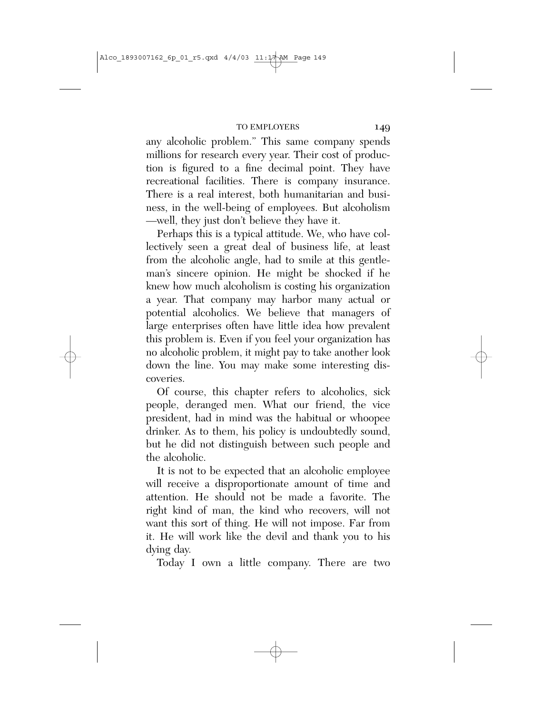any alcoholic problem." This same company spends millions for research every year. Their cost of production is figured to a fine decimal point. They have recreational facilities. There is company insurance. There is a real interest, both humanitarian and business, in the well-being of employees. But alcoholism —well, they just don't believe they have it.

Perhaps this is a typical attitude. We, who have collectively seen a great deal of business life, at least from the alcoholic angle, had to smile at this gentleman's sincere opinion. He might be shocked if he knew how much alcoholism is costing his organization a year. That company may harbor many actual or potential alcoholics. We believe that managers of large enterprises often have little idea how prevalent this problem is. Even if you feel your organization has no alcoholic problem, it might pay to take another look down the line. You may make some interesting discoveries.

Of course, this chapter refers to alcoholics, sick people, deranged men. What our friend, the vice president, had in mind was the habitual or whoopee drinker. As to them, his policy is undoubtedly sound, but he did not distinguish between such people and the alcoholic.

It is not to be expected that an alcoholic employee will receive a disproportionate amount of time and attention. He should not be made a favorite. The right kind of man, the kind who recovers, will not want this sort of thing. He will not impose. Far from it. He will work like the devil and thank you to his dying day.

Today I own a little company. There are two